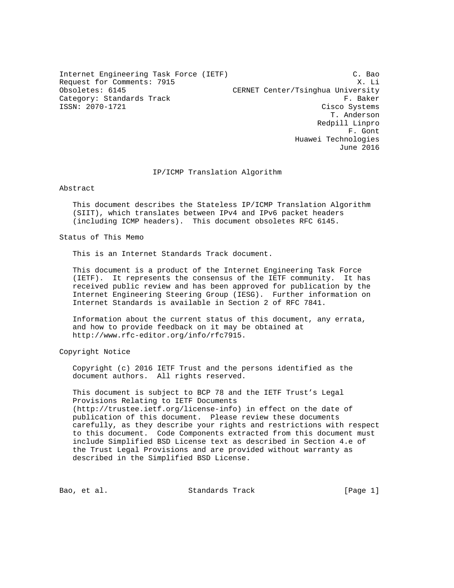Internet Engineering Task Force (IETF)  $C.$  Bao<br>Request for Comments: 7915 (X. Li Request for Comments: 7915<br>Obsoletes: 6145 CERNET Center/Tsinghua University Category: Standards Track F. Baker ISSN: 2070-1721 Cisco Systems T. Anderson Redpill Linpro F. Gont Huawei Technologies

#### IP/ICMP Translation Algorithm

Abstract

 This document describes the Stateless IP/ICMP Translation Algorithm (SIIT), which translates between IPv4 and IPv6 packet headers (including ICMP headers). This document obsoletes RFC 6145.

Status of This Memo

This is an Internet Standards Track document.

 This document is a product of the Internet Engineering Task Force (IETF). It represents the consensus of the IETF community. It has received public review and has been approved for publication by the Internet Engineering Steering Group (IESG). Further information on Internet Standards is available in Section 2 of RFC 7841.

 Information about the current status of this document, any errata, and how to provide feedback on it may be obtained at http://www.rfc-editor.org/info/rfc7915.

Copyright Notice

 Copyright (c) 2016 IETF Trust and the persons identified as the document authors. All rights reserved.

 This document is subject to BCP 78 and the IETF Trust's Legal Provisions Relating to IETF Documents (http://trustee.ietf.org/license-info) in effect on the date of publication of this document. Please review these documents carefully, as they describe your rights and restrictions with respect to this document. Code Components extracted from this document must include Simplified BSD License text as described in Section 4.e of the Trust Legal Provisions and are provided without warranty as described in the Simplified BSD License.

Bao, et al. Standards Track [Page 1]

June 2016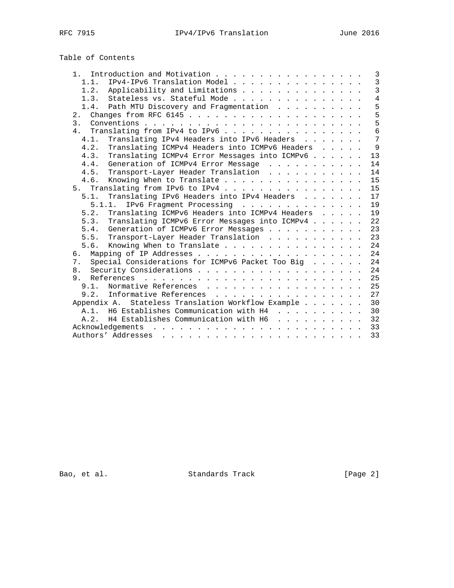# Table of Contents

| Introduction and Motivation<br>$1$ .                                                                                                                                                                                                                |  |  |  | 3              |
|-----------------------------------------------------------------------------------------------------------------------------------------------------------------------------------------------------------------------------------------------------|--|--|--|----------------|
| IPv4-IPv6 Translation Model<br>1.1.                                                                                                                                                                                                                 |  |  |  | $\overline{3}$ |
| Applicability and Limitations<br>1.2.                                                                                                                                                                                                               |  |  |  | $\overline{3}$ |
| Stateless vs. Stateful Mode<br>1.3.                                                                                                                                                                                                                 |  |  |  | $\overline{4}$ |
| Path MTU Discovery and Fragmentation<br>1.4.                                                                                                                                                                                                        |  |  |  | 5              |
| 2.                                                                                                                                                                                                                                                  |  |  |  | 5              |
| 3 <sup>1</sup>                                                                                                                                                                                                                                      |  |  |  | 5              |
| Translating from IPv4 to IPv6<br>4.                                                                                                                                                                                                                 |  |  |  | $\overline{6}$ |
| Translating IPv4 Headers into IPv6 Headers<br>4.1.                                                                                                                                                                                                  |  |  |  | $\overline{7}$ |
| Translating ICMPv4 Headers into ICMPv6 Headers<br>4.2.                                                                                                                                                                                              |  |  |  | 9              |
| Translating ICMPv4 Error Messages into ICMPv6<br>4.3.                                                                                                                                                                                               |  |  |  | 13             |
| Generation of ICMPv4 Error Message<br>4.4.                                                                                                                                                                                                          |  |  |  | 14             |
| Transport-Layer Header Translation<br>4.5.                                                                                                                                                                                                          |  |  |  | 14             |
| Knowing When to Translate<br>4.6.                                                                                                                                                                                                                   |  |  |  | 15             |
| 5. Translating from IPv6 to IPv4                                                                                                                                                                                                                    |  |  |  | 15             |
| Translating IPv6 Headers into IPv4 Headers<br>5.1.                                                                                                                                                                                                  |  |  |  | 17             |
| IPv6 Fragment Processing<br>5.1.1.                                                                                                                                                                                                                  |  |  |  | 19             |
| Translating ICMPv6 Headers into ICMPv4 Headers<br>5.2.                                                                                                                                                                                              |  |  |  | 19             |
| Translating ICMPv6 Error Messages into ICMPv4<br>5.3.                                                                                                                                                                                               |  |  |  | 22             |
| Generation of ICMPv6 Error Messages<br>5.4.                                                                                                                                                                                                         |  |  |  | 23             |
| Transport-Layer Header Translation<br>5.5.                                                                                                                                                                                                          |  |  |  | 23             |
| Knowing When to Translate<br>5.6.                                                                                                                                                                                                                   |  |  |  | 24             |
| რ.                                                                                                                                                                                                                                                  |  |  |  | 24             |
| Special Considerations for ICMPv6 Packet Too Big<br>7.                                                                                                                                                                                              |  |  |  | 24             |
| 8.                                                                                                                                                                                                                                                  |  |  |  | 24             |
| 9.                                                                                                                                                                                                                                                  |  |  |  | 25             |
| 9.1. Normative References                                                                                                                                                                                                                           |  |  |  | 25             |
| 9.2.<br>Informative References                                                                                                                                                                                                                      |  |  |  | 27             |
| Stateless Translation Workflow Example<br>Appendix A.                                                                                                                                                                                               |  |  |  | 30             |
| A.1. H6 Establishes Communication with H4                                                                                                                                                                                                           |  |  |  | 30             |
| H4 Establishes Communication with H6<br>A.2.                                                                                                                                                                                                        |  |  |  | 32             |
| Acknowledgements<br><u>. A car a car a car a car a car a car a car a car a car a car a c</u>                                                                                                                                                        |  |  |  | 33             |
| Authors' Addresses<br>a constitution of the constitution of the constitution of the constitution of the constitution of the constitution of the constitution of the constitution of the constitution of the constitution of the constitution of the |  |  |  | 33             |

Bao, et al. Standards Track [Page 2]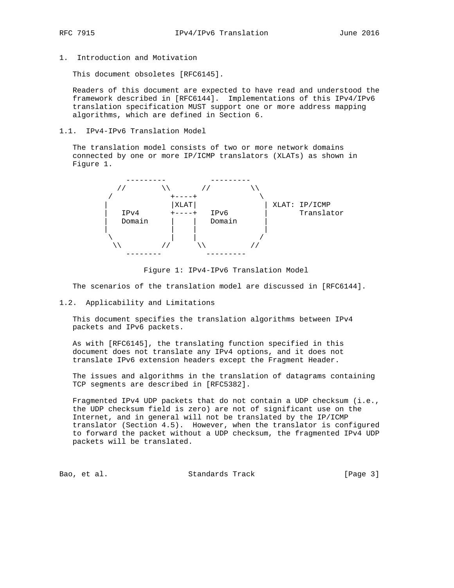- 
- 1. Introduction and Motivation

This document obsoletes [RFC6145].

 Readers of this document are expected to have read and understood the framework described in [RFC6144]. Implementations of this IPv4/IPv6 translation specification MUST support one or more address mapping algorithms, which are defined in Section 6.

1.1. IPv4-IPv6 Translation Model

 The translation model consists of two or more network domains connected by one or more IP/ICMP translators (XLATs) as shown in Figure 1.



Figure 1: IPv4-IPv6 Translation Model

The scenarios of the translation model are discussed in [RFC6144].

# 1.2. Applicability and Limitations

 This document specifies the translation algorithms between IPv4 packets and IPv6 packets.

 As with [RFC6145], the translating function specified in this document does not translate any IPv4 options, and it does not translate IPv6 extension headers except the Fragment Header.

 The issues and algorithms in the translation of datagrams containing TCP segments are described in [RFC5382].

 Fragmented IPv4 UDP packets that do not contain a UDP checksum (i.e., the UDP checksum field is zero) are not of significant use on the Internet, and in general will not be translated by the IP/ICMP translator (Section 4.5). However, when the translator is configured to forward the packet without a UDP checksum, the fragmented IPv4 UDP packets will be translated.

Bao, et al. Standards Track [Page 3]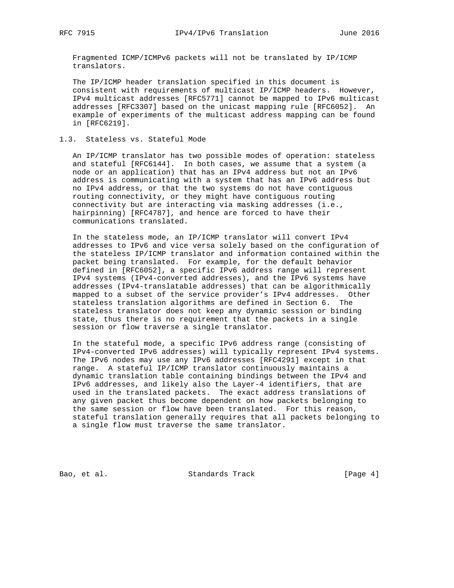Fragmented ICMP/ICMPv6 packets will not be translated by IP/ICMP translators.

 The IP/ICMP header translation specified in this document is consistent with requirements of multicast IP/ICMP headers. However, IPv4 multicast addresses [RFC5771] cannot be mapped to IPv6 multicast addresses [RFC3307] based on the unicast mapping rule [RFC6052]. An example of experiments of the multicast address mapping can be found in [RFC6219].

# 1.3. Stateless vs. Stateful Mode

 An IP/ICMP translator has two possible modes of operation: stateless and stateful [RFC6144]. In both cases, we assume that a system (a node or an application) that has an IPv4 address but not an IPv6 address is communicating with a system that has an IPv6 address but no IPv4 address, or that the two systems do not have contiguous routing connectivity, or they might have contiguous routing connectivity but are interacting via masking addresses (i.e., hairpinning) [RFC4787], and hence are forced to have their communications translated.

 In the stateless mode, an IP/ICMP translator will convert IPv4 addresses to IPv6 and vice versa solely based on the configuration of the stateless IP/ICMP translator and information contained within the packet being translated. For example, for the default behavior defined in [RFC6052], a specific IPv6 address range will represent IPv4 systems (IPv4-converted addresses), and the IPv6 systems have addresses (IPv4-translatable addresses) that can be algorithmically mapped to a subset of the service provider's IPv4 addresses. Other stateless translation algorithms are defined in Section 6. The stateless translator does not keep any dynamic session or binding state, thus there is no requirement that the packets in a single session or flow traverse a single translator.

 In the stateful mode, a specific IPv6 address range (consisting of IPv4-converted IPv6 addresses) will typically represent IPv4 systems. The IPv6 nodes may use any IPv6 addresses [RFC4291] except in that range. A stateful IP/ICMP translator continuously maintains a dynamic translation table containing bindings between the IPv4 and IPv6 addresses, and likely also the Layer-4 identifiers, that are used in the translated packets. The exact address translations of any given packet thus become dependent on how packets belonging to the same session or flow have been translated. For this reason, stateful translation generally requires that all packets belonging to a single flow must traverse the same translator.

Bao, et al. Standards Track [Page 4]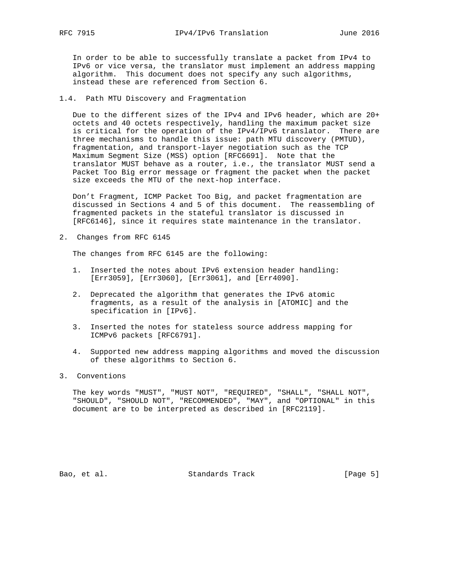In order to be able to successfully translate a packet from IPv4 to IPv6 or vice versa, the translator must implement an address mapping algorithm. This document does not specify any such algorithms, instead these are referenced from Section 6.

1.4. Path MTU Discovery and Fragmentation

 Due to the different sizes of the IPv4 and IPv6 header, which are 20+ octets and 40 octets respectively, handling the maximum packet size is critical for the operation of the IPv4/IPv6 translator. There are three mechanisms to handle this issue: path MTU discovery (PMTUD), fragmentation, and transport-layer negotiation such as the TCP Maximum Segment Size (MSS) option [RFC6691]. Note that the translator MUST behave as a router, i.e., the translator MUST send a Packet Too Big error message or fragment the packet when the packet size exceeds the MTU of the next-hop interface.

 Don't Fragment, ICMP Packet Too Big, and packet fragmentation are discussed in Sections 4 and 5 of this document. The reassembling of fragmented packets in the stateful translator is discussed in [RFC6146], since it requires state maintenance in the translator.

2. Changes from RFC 6145

The changes from RFC 6145 are the following:

- 1. Inserted the notes about IPv6 extension header handling: [Err3059], [Err3060], [Err3061], and [Err4090].
- 2. Deprecated the algorithm that generates the IPv6 atomic fragments, as a result of the analysis in [ATOMIC] and the specification in [IPv6].
- 3. Inserted the notes for stateless source address mapping for ICMPv6 packets [RFC6791].
- 4. Supported new address mapping algorithms and moved the discussion of these algorithms to Section 6.

# 3. Conventions

 The key words "MUST", "MUST NOT", "REQUIRED", "SHALL", "SHALL NOT", "SHOULD", "SHOULD NOT", "RECOMMENDED", "MAY", and "OPTIONAL" in this document are to be interpreted as described in [RFC2119].

Bao, et al. Standards Track [Page 5]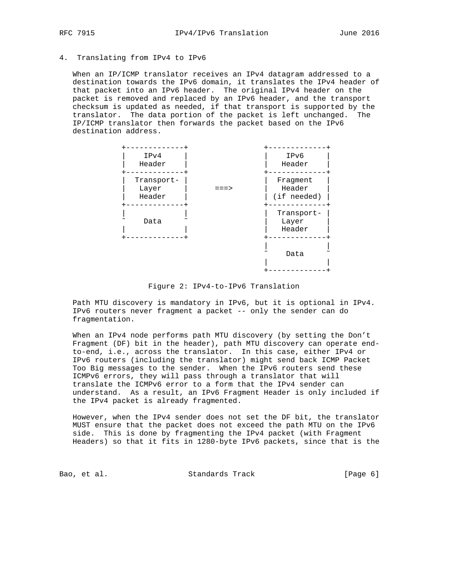## 4. Translating from IPv4 to IPv6

 When an IP/ICMP translator receives an IPv4 datagram addressed to a destination towards the IPv6 domain, it translates the IPv4 header of that packet into an IPv6 header. The original IPv4 header on the packet is removed and replaced by an IPv6 header, and the transport checksum is updated as needed, if that transport is supported by the translator. The data portion of the packet is left unchanged. The IP/ICMP translator then forwards the packet based on the IPv6 destination address.



Figure 2: IPv4-to-IPv6 Translation

 Path MTU discovery is mandatory in IPv6, but it is optional in IPv4. IPv6 routers never fragment a packet -- only the sender can do fragmentation.

 When an IPv4 node performs path MTU discovery (by setting the Don't Fragment (DF) bit in the header), path MTU discovery can operate end to-end, i.e., across the translator. In this case, either IPv4 or IPv6 routers (including the translator) might send back ICMP Packet Too Big messages to the sender. When the IPv6 routers send these ICMPv6 errors, they will pass through a translator that will translate the ICMPv6 error to a form that the IPv4 sender can understand. As a result, an IPv6 Fragment Header is only included if the IPv4 packet is already fragmented.

 However, when the IPv4 sender does not set the DF bit, the translator MUST ensure that the packet does not exceed the path MTU on the IPv6 side. This is done by fragmenting the IPv4 packet (with Fragment Headers) so that it fits in 1280-byte IPv6 packets, since that is the

Bao, et al. Standards Track [Page 6]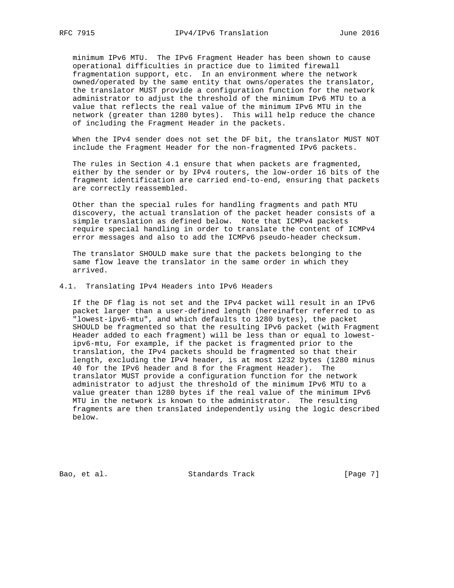minimum IPv6 MTU. The IPv6 Fragment Header has been shown to cause operational difficulties in practice due to limited firewall fragmentation support, etc. In an environment where the network owned/operated by the same entity that owns/operates the translator, the translator MUST provide a configuration function for the network administrator to adjust the threshold of the minimum IPv6 MTU to a value that reflects the real value of the minimum IPv6 MTU in the network (greater than 1280 bytes). This will help reduce the chance of including the Fragment Header in the packets.

 When the IPv4 sender does not set the DF bit, the translator MUST NOT include the Fragment Header for the non-fragmented IPv6 packets.

 The rules in Section 4.1 ensure that when packets are fragmented, either by the sender or by IPv4 routers, the low-order 16 bits of the fragment identification are carried end-to-end, ensuring that packets are correctly reassembled.

 Other than the special rules for handling fragments and path MTU discovery, the actual translation of the packet header consists of a simple translation as defined below. Note that ICMPv4 packets require special handling in order to translate the content of ICMPv4 error messages and also to add the ICMPv6 pseudo-header checksum.

 The translator SHOULD make sure that the packets belonging to the same flow leave the translator in the same order in which they arrived.

#### 4.1. Translating IPv4 Headers into IPv6 Headers

 If the DF flag is not set and the IPv4 packet will result in an IPv6 packet larger than a user-defined length (hereinafter referred to as "lowest-ipv6-mtu", and which defaults to 1280 bytes), the packet SHOULD be fragmented so that the resulting IPv6 packet (with Fragment Header added to each fragment) will be less than or equal to lowest ipv6-mtu, For example, if the packet is fragmented prior to the translation, the IPv4 packets should be fragmented so that their length, excluding the IPv4 header, is at most 1232 bytes (1280 minus 40 for the IPv6 header and 8 for the Fragment Header). The translator MUST provide a configuration function for the network administrator to adjust the threshold of the minimum IPv6 MTU to a value greater than 1280 bytes if the real value of the minimum IPv6 MTU in the network is known to the administrator. The resulting fragments are then translated independently using the logic described below.

Bao, et al. Standards Track [Page 7]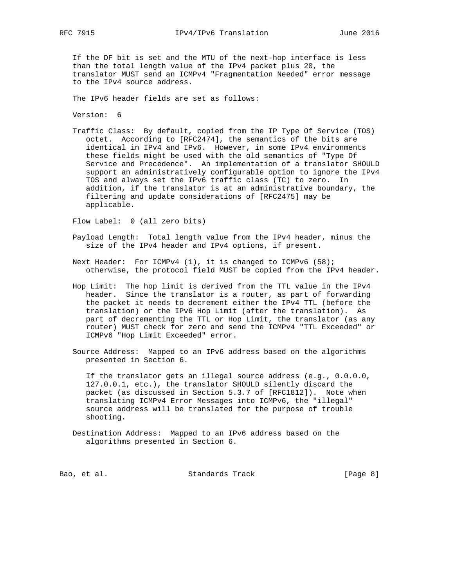If the DF bit is set and the MTU of the next-hop interface is less than the total length value of the IPv4 packet plus 20, the translator MUST send an ICMPv4 "Fragmentation Needed" error message to the IPv4 source address.

The IPv6 header fields are set as follows:

Version: 6

 Traffic Class: By default, copied from the IP Type Of Service (TOS) octet. According to [RFC2474], the semantics of the bits are identical in IPv4 and IPv6. However, in some IPv4 environments these fields might be used with the old semantics of "Type Of Service and Precedence". An implementation of a translator SHOULD support an administratively configurable option to ignore the IPv4 TOS and always set the IPv6 traffic class (TC) to zero. In addition, if the translator is at an administrative boundary, the filtering and update considerations of [RFC2475] may be applicable.

Flow Label: 0 (all zero bits)

- Payload Length: Total length value from the IPv4 header, minus the size of the IPv4 header and IPv4 options, if present.
- Next Header: For ICMPv4 (1), it is changed to ICMPv6 (58); otherwise, the protocol field MUST be copied from the IPv4 header.
- Hop Limit: The hop limit is derived from the TTL value in the IPv4 header. Since the translator is a router, as part of forwarding the packet it needs to decrement either the IPv4 TTL (before the translation) or the IPv6 Hop Limit (after the translation). As part of decrementing the TTL or Hop Limit, the translator (as any router) MUST check for zero and send the ICMPv4 "TTL Exceeded" or ICMPv6 "Hop Limit Exceeded" error.
- Source Address: Mapped to an IPv6 address based on the algorithms presented in Section 6.

 If the translator gets an illegal source address (e.g., 0.0.0.0, 127.0.0.1, etc.), the translator SHOULD silently discard the packet (as discussed in Section 5.3.7 of [RFC1812]). Note when translating ICMPv4 Error Messages into ICMPv6, the "illegal" source address will be translated for the purpose of trouble shooting.

 Destination Address: Mapped to an IPv6 address based on the algorithms presented in Section 6.

Bao, et al. Standards Track [Page 8]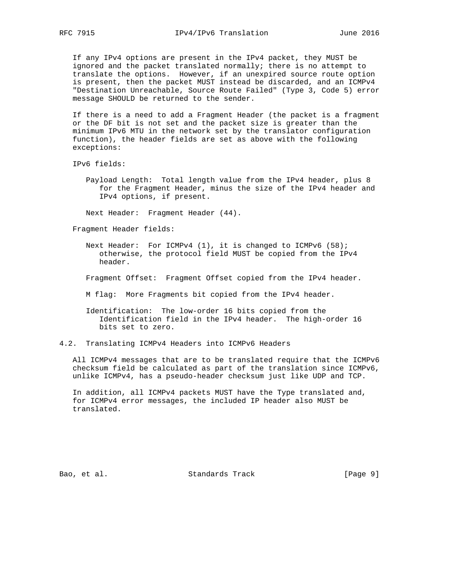If any IPv4 options are present in the IPv4 packet, they MUST be ignored and the packet translated normally; there is no attempt to translate the options. However, if an unexpired source route option is present, then the packet MUST instead be discarded, and an ICMPv4 "Destination Unreachable, Source Route Failed" (Type 3, Code 5) error message SHOULD be returned to the sender.

 If there is a need to add a Fragment Header (the packet is a fragment or the DF bit is not set and the packet size is greater than the minimum IPv6 MTU in the network set by the translator configuration function), the header fields are set as above with the following exceptions:

IPv6 fields:

 Payload Length: Total length value from the IPv4 header, plus 8 for the Fragment Header, minus the size of the IPv4 header and IPv4 options, if present.

Next Header: Fragment Header (44).

Fragment Header fields:

- Next Header: For ICMPv4 (1), it is changed to ICMPv6 (58); otherwise, the protocol field MUST be copied from the IPv4 header.
- Fragment Offset: Fragment Offset copied from the IPv4 header.
- M flag: More Fragments bit copied from the IPv4 header.
- Identification: The low-order 16 bits copied from the Identification field in the IPv4 header. The high-order 16 bits set to zero.
- 4.2. Translating ICMPv4 Headers into ICMPv6 Headers

 All ICMPv4 messages that are to be translated require that the ICMPv6 checksum field be calculated as part of the translation since ICMPv6, unlike ICMPv4, has a pseudo-header checksum just like UDP and TCP.

 In addition, all ICMPv4 packets MUST have the Type translated and, for ICMPv4 error messages, the included IP header also MUST be translated.

Bao, et al. Standards Track [Page 9]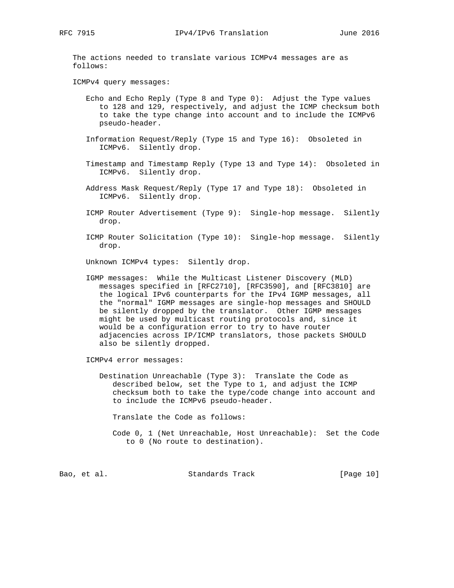The actions needed to translate various ICMPv4 messages are as follows:

ICMPv4 query messages:

- Echo and Echo Reply (Type 8 and Type 0): Adjust the Type values to 128 and 129, respectively, and adjust the ICMP checksum both to take the type change into account and to include the ICMPv6 pseudo-header.
- Information Request/Reply (Type 15 and Type 16): Obsoleted in ICMPv6. Silently drop.
- Timestamp and Timestamp Reply (Type 13 and Type 14): Obsoleted in ICMPv6. Silently drop.
- Address Mask Request/Reply (Type 17 and Type 18): Obsoleted in ICMPv6. Silently drop.
- ICMP Router Advertisement (Type 9): Single-hop message. Silently drop.
- ICMP Router Solicitation (Type 10): Single-hop message. Silently drop.

Unknown ICMPv4 types: Silently drop.

 IGMP messages: While the Multicast Listener Discovery (MLD) messages specified in [RFC2710], [RFC3590], and [RFC3810] are the logical IPv6 counterparts for the IPv4 IGMP messages, all the "normal" IGMP messages are single-hop messages and SHOULD be silently dropped by the translator. Other IGMP messages might be used by multicast routing protocols and, since it would be a configuration error to try to have router adjacencies across IP/ICMP translators, those packets SHOULD also be silently dropped.

ICMPv4 error messages:

 Destination Unreachable (Type 3): Translate the Code as described below, set the Type to 1, and adjust the ICMP checksum both to take the type/code change into account and to include the ICMPv6 pseudo-header.

Translate the Code as follows:

 Code 0, 1 (Net Unreachable, Host Unreachable): Set the Code to 0 (No route to destination).

Bao, et al. Standards Track [Page 10]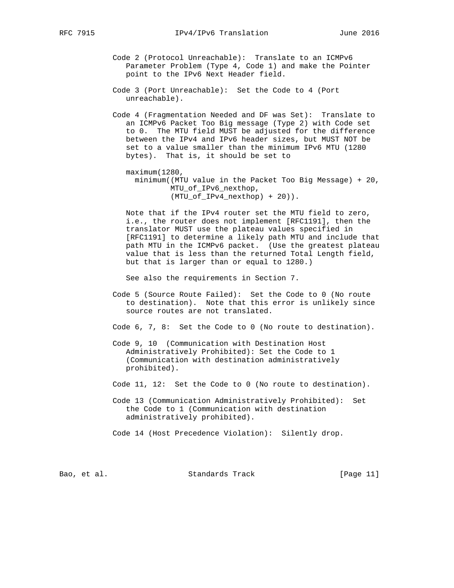Code 2 (Protocol Unreachable): Translate to an ICMPv6 Parameter Problem (Type 4, Code 1) and make the Pointer point to the IPv6 Next Header field.

- Code 3 (Port Unreachable): Set the Code to 4 (Port unreachable).
- Code 4 (Fragmentation Needed and DF was Set): Translate to an ICMPv6 Packet Too Big message (Type 2) with Code set to 0. The MTU field MUST be adjusted for the difference between the IPv4 and IPv6 header sizes, but MUST NOT be set to a value smaller than the minimum IPv6 MTU (1280 bytes). That is, it should be set to

 maximum(1280, minimum((MTU value in the Packet Too Big Message) + 20, MTU\_of\_IPv6\_nexthop, (MTU\_of\_IPv4\_nexthop) + 20)).

 Note that if the IPv4 router set the MTU field to zero, i.e., the router does not implement [RFC1191], then the translator MUST use the plateau values specified in [RFC1191] to determine a likely path MTU and include that path MTU in the ICMPv6 packet. (Use the greatest plateau value that is less than the returned Total Length field, but that is larger than or equal to 1280.)

See also the requirements in Section 7.

 Code 5 (Source Route Failed): Set the Code to 0 (No route to destination). Note that this error is unlikely since source routes are not translated.

Code 6, 7, 8: Set the Code to 0 (No route to destination).

 Code 9, 10 (Communication with Destination Host Administratively Prohibited): Set the Code to 1 (Communication with destination administratively prohibited).

Code 11, 12: Set the Code to 0 (No route to destination).

 Code 13 (Communication Administratively Prohibited): Set the Code to 1 (Communication with destination administratively prohibited).

Code 14 (Host Precedence Violation): Silently drop.

Bao, et al. Standards Track [Page 11]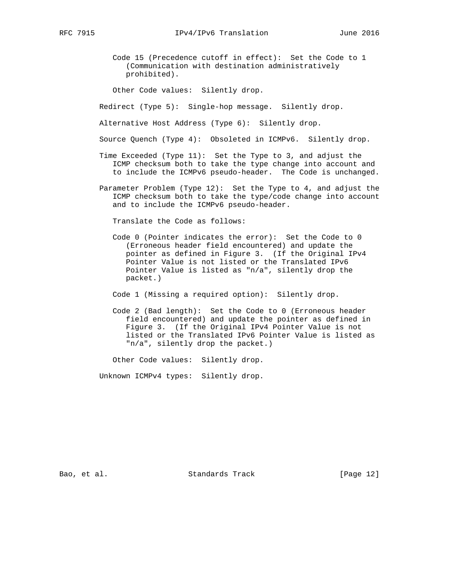Code 15 (Precedence cutoff in effect): Set the Code to 1 (Communication with destination administratively prohibited).

Other Code values: Silently drop.

Redirect (Type 5): Single-hop message. Silently drop.

Alternative Host Address (Type 6): Silently drop.

Source Quench (Type 4): Obsoleted in ICMPv6. Silently drop.

- Time Exceeded (Type 11): Set the Type to 3, and adjust the ICMP checksum both to take the type change into account and to include the ICMPv6 pseudo-header. The Code is unchanged.
- Parameter Problem (Type 12): Set the Type to 4, and adjust the ICMP checksum both to take the type/code change into account and to include the ICMPv6 pseudo-header.

Translate the Code as follows:

 Code 0 (Pointer indicates the error): Set the Code to 0 (Erroneous header field encountered) and update the pointer as defined in Figure 3. (If the Original IPv4 Pointer Value is not listed or the Translated IPv6 Pointer Value is listed as "n/a", silently drop the packet.)

Code 1 (Missing a required option): Silently drop.

 Code 2 (Bad length): Set the Code to 0 (Erroneous header field encountered) and update the pointer as defined in Figure 3. (If the Original IPv4 Pointer Value is not listed or the Translated IPv6 Pointer Value is listed as "n/a", silently drop the packet.)

Other Code values: Silently drop.

Unknown ICMPv4 types: Silently drop.

Bao, et al. Standards Track [Page 12]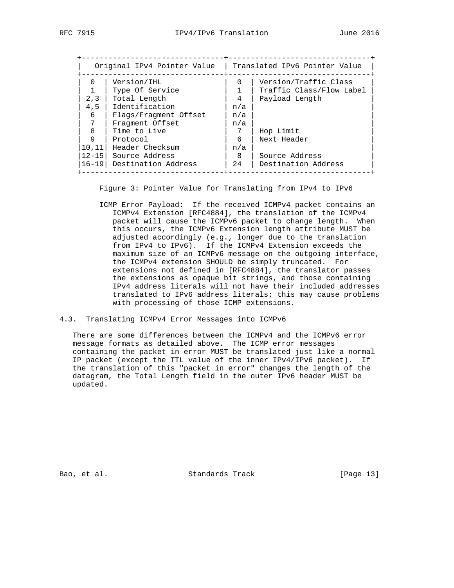| Original IPv4 Pointer Value |                       |          | Translated IPv6 Pointer Value |  |  |
|-----------------------------|-----------------------|----------|-------------------------------|--|--|
| $\Omega$                    | Version/IHL           | $\Omega$ | Version/Traffic Class         |  |  |
|                             | Type Of Service       |          | Traffic Class/Flow Label      |  |  |
| 2,3                         | Total Length          | 4        | Payload Length                |  |  |
| 4,5                         | Identification        | n/a      |                               |  |  |
| 6                           | Flags/Fragment Offset | n/a      |                               |  |  |
| 7                           | Fragment Offset       | n/a      |                               |  |  |
| $\mathsf{B}$                | Time to Live          | 7        | Hop Limit                     |  |  |
| 9                           | Protocol              | 6        | Next Header                   |  |  |
| 10, 11                      | Header Checksum       | n/a      |                               |  |  |
| $12 - 15$                   | Source Address        | -8       | Source Address                |  |  |
| $16 - 19$                   | Destination Address   | 24       | Destination Address           |  |  |

Figure 3: Pointer Value for Translating from IPv4 to IPv6

 ICMP Error Payload: If the received ICMPv4 packet contains an ICMPv4 Extension [RFC4884], the translation of the ICMPv4 packet will cause the ICMPv6 packet to change length. When this occurs, the ICMPv6 Extension length attribute MUST be adjusted accordingly (e.g., longer due to the translation from IPv4 to IPv6). If the ICMPv4 Extension exceeds the maximum size of an ICMPv6 message on the outgoing interface, the ICMPv4 extension SHOULD be simply truncated. For extensions not defined in [RFC4884], the translator passes the extensions as opaque bit strings, and those containing IPv4 address literals will not have their included addresses translated to IPv6 address literals; this may cause problems with processing of those ICMP extensions.

4.3. Translating ICMPv4 Error Messages into ICMPv6

 There are some differences between the ICMPv4 and the ICMPv6 error message formats as detailed above. The ICMP error messages containing the packet in error MUST be translated just like a normal IP packet (except the TTL value of the inner IPv4/IPv6 packet). If the translation of this "packet in error" changes the length of the datagram, the Total Length field in the outer IPv6 header MUST be updated.

Bao, et al. Standards Track [Page 13]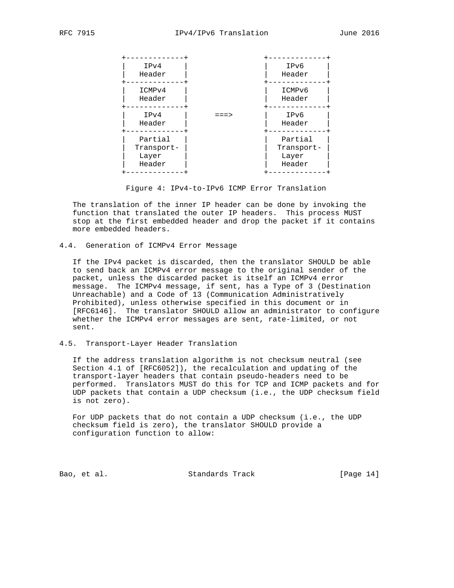

Figure 4: IPv4-to-IPv6 ICMP Error Translation

 The translation of the inner IP header can be done by invoking the function that translated the outer IP headers. This process MUST stop at the first embedded header and drop the packet if it contains more embedded headers.

4.4. Generation of ICMPv4 Error Message

 If the IPv4 packet is discarded, then the translator SHOULD be able to send back an ICMPv4 error message to the original sender of the packet, unless the discarded packet is itself an ICMPv4 error message. The ICMPv4 message, if sent, has a Type of 3 (Destination Unreachable) and a Code of 13 (Communication Administratively Prohibited), unless otherwise specified in this document or in [RFC6146]. The translator SHOULD allow an administrator to configure whether the ICMPv4 error messages are sent, rate-limited, or not sent.

4.5. Transport-Layer Header Translation

 If the address translation algorithm is not checksum neutral (see Section 4.1 of [RFC6052]), the recalculation and updating of the transport-layer headers that contain pseudo-headers need to be performed. Translators MUST do this for TCP and ICMP packets and for UDP packets that contain a UDP checksum (i.e., the UDP checksum field is not zero).

 For UDP packets that do not contain a UDP checksum (i.e., the UDP checksum field is zero), the translator SHOULD provide a configuration function to allow:

Bao, et al. Standards Track [Page 14]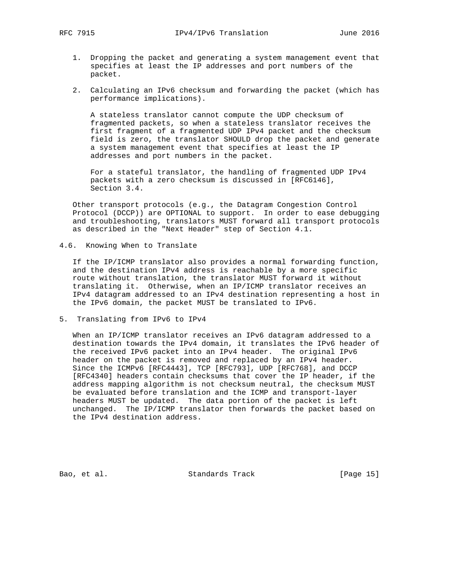- 1. Dropping the packet and generating a system management event that specifies at least the IP addresses and port numbers of the packet.
- 2. Calculating an IPv6 checksum and forwarding the packet (which has performance implications).

 A stateless translator cannot compute the UDP checksum of fragmented packets, so when a stateless translator receives the first fragment of a fragmented UDP IPv4 packet and the checksum field is zero, the translator SHOULD drop the packet and generate a system management event that specifies at least the IP addresses and port numbers in the packet.

 For a stateful translator, the handling of fragmented UDP IPv4 packets with a zero checksum is discussed in [RFC6146], Section 3.4.

 Other transport protocols (e.g., the Datagram Congestion Control Protocol (DCCP)) are OPTIONAL to support. In order to ease debugging and troubleshooting, translators MUST forward all transport protocols as described in the "Next Header" step of Section 4.1.

## 4.6. Knowing When to Translate

 If the IP/ICMP translator also provides a normal forwarding function, and the destination IPv4 address is reachable by a more specific route without translation, the translator MUST forward it without translating it. Otherwise, when an IP/ICMP translator receives an IPv4 datagram addressed to an IPv4 destination representing a host in the IPv6 domain, the packet MUST be translated to IPv6.

5. Translating from IPv6 to IPv4

When an IP/ICMP translator receives an IPv6 datagram addressed to a destination towards the IPv4 domain, it translates the IPv6 header of the received IPv6 packet into an IPv4 header. The original IPv6 header on the packet is removed and replaced by an IPv4 header. Since the ICMPv6 [RFC4443], TCP [RFC793], UDP [RFC768], and DCCP [RFC4340] headers contain checksums that cover the IP header, if the address mapping algorithm is not checksum neutral, the checksum MUST be evaluated before translation and the ICMP and transport-layer headers MUST be updated. The data portion of the packet is left unchanged. The IP/ICMP translator then forwards the packet based on the IPv4 destination address.

Bao, et al. Standards Track [Page 15]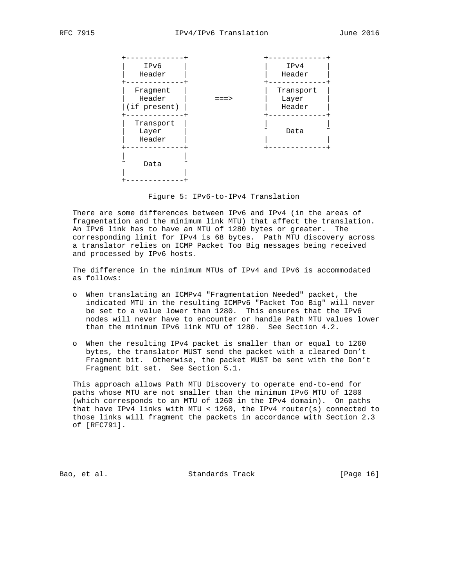

Figure 5: IPv6-to-IPv4 Translation

 There are some differences between IPv6 and IPv4 (in the areas of fragmentation and the minimum link MTU) that affect the translation. An IPv6 link has to have an MTU of 1280 bytes or greater. The corresponding limit for IPv4 is 68 bytes. Path MTU discovery across a translator relies on ICMP Packet Too Big messages being received and processed by IPv6 hosts.

 The difference in the minimum MTUs of IPv4 and IPv6 is accommodated as follows:

- o When translating an ICMPv4 "Fragmentation Needed" packet, the indicated MTU in the resulting ICMPv6 "Packet Too Big" will never be set to a value lower than 1280. This ensures that the IPv6 nodes will never have to encounter or handle Path MTU values lower than the minimum IPv6 link MTU of 1280. See Section 4.2.
- o When the resulting IPv4 packet is smaller than or equal to 1260 bytes, the translator MUST send the packet with a cleared Don't Fragment bit. Otherwise, the packet MUST be sent with the Don't Fragment bit set. See Section 5.1.

 This approach allows Path MTU Discovery to operate end-to-end for paths whose MTU are not smaller than the minimum IPv6 MTU of 1280 (which corresponds to an MTU of 1260 in the IPv4 domain). On paths that have IPv4 links with MTU < 1260, the IPv4 router(s) connected to those links will fragment the packets in accordance with Section 2.3 of [RFC791].

Bao, et al. Standards Track [Page 16]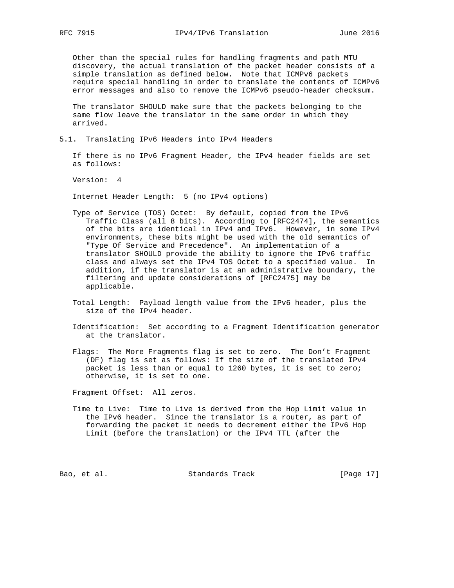Other than the special rules for handling fragments and path MTU discovery, the actual translation of the packet header consists of a simple translation as defined below. Note that ICMPv6 packets require special handling in order to translate the contents of ICMPv6 error messages and also to remove the ICMPv6 pseudo-header checksum.

 The translator SHOULD make sure that the packets belonging to the same flow leave the translator in the same order in which they arrived.

5.1. Translating IPv6 Headers into IPv4 Headers

 If there is no IPv6 Fragment Header, the IPv4 header fields are set as follows:

Version: 4

Internet Header Length: 5 (no IPv4 options)

- Type of Service (TOS) Octet: By default, copied from the IPv6 Traffic Class (all 8 bits). According to [RFC2474], the semantics of the bits are identical in IPv4 and IPv6. However, in some IPv4 environments, these bits might be used with the old semantics of "Type Of Service and Precedence". An implementation of a translator SHOULD provide the ability to ignore the IPv6 traffic class and always set the IPv4 TOS Octet to a specified value. In addition, if the translator is at an administrative boundary, the filtering and update considerations of [RFC2475] may be applicable.
- Total Length: Payload length value from the IPv6 header, plus the size of the IPv4 header.
- Identification: Set according to a Fragment Identification generator at the translator.
- Flags: The More Fragments flag is set to zero. The Don't Fragment (DF) flag is set as follows: If the size of the translated IPv4 packet is less than or equal to 1260 bytes, it is set to zero; otherwise, it is set to one.

Fragment Offset: All zeros.

 Time to Live: Time to Live is derived from the Hop Limit value in the IPv6 header. Since the translator is a router, as part of forwarding the packet it needs to decrement either the IPv6 Hop Limit (before the translation) or the IPv4 TTL (after the

Bao, et al. Standards Track [Page 17]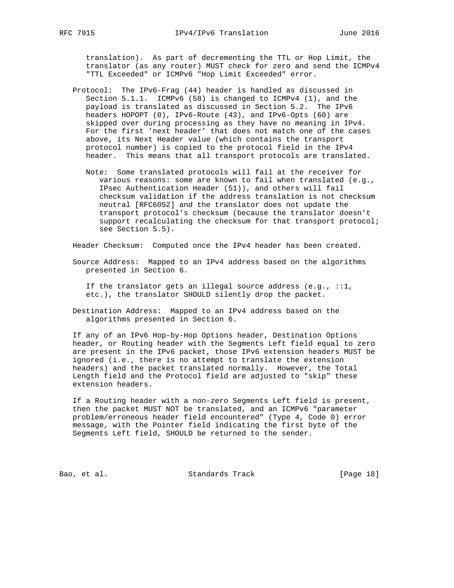translation). As part of decrementing the TTL or Hop Limit, the translator (as any router) MUST check for zero and send the ICMPv4 "TTL Exceeded" or ICMPv6 "Hop Limit Exceeded" error.

- Protocol: The IPv6-Frag (44) header is handled as discussed in Section 5.1.1. ICMPv6 (58) is changed to ICMPv4 (1), and the payload is translated as discussed in Section 5.2. The IPv6 headers HOPOPT (0), IPv6-Route (43), and IPv6-Opts (60) are skipped over during processing as they have no meaning in IPv4. For the first 'next header' that does not match one of the cases above, its Next Header value (which contains the transport protocol number) is copied to the protocol field in the IPv4 header. This means that all transport protocols are translated.
	- Note: Some translated protocols will fail at the receiver for various reasons: some are known to fail when translated (e.g., IPsec Authentication Header (51)), and others will fail checksum validation if the address translation is not checksum neutral [RFC6052] and the translator does not update the transport protocol's checksum (because the translator doesn't support recalculating the checksum for that transport protocol; see Section 5.5).

Header Checksum: Computed once the IPv4 header has been created.

 Source Address: Mapped to an IPv4 address based on the algorithms presented in Section 6.

If the translator gets an illegal source address  $(e.g., ::1,$ etc.), the translator SHOULD silently drop the packet.

 Destination Address: Mapped to an IPv4 address based on the algorithms presented in Section 6.

 If any of an IPv6 Hop-by-Hop Options header, Destination Options header, or Routing header with the Segments Left field equal to zero are present in the IPv6 packet, those IPv6 extension headers MUST be ignored (i.e., there is no attempt to translate the extension headers) and the packet translated normally. However, the Total Length field and the Protocol field are adjusted to "skip" these extension headers.

 If a Routing header with a non-zero Segments Left field is present, then the packet MUST NOT be translated, and an ICMPv6 "parameter problem/erroneous header field encountered" (Type 4, Code 0) error message, with the Pointer field indicating the first byte of the Segments Left field, SHOULD be returned to the sender.

Bao, et al. Standards Track [Page 18]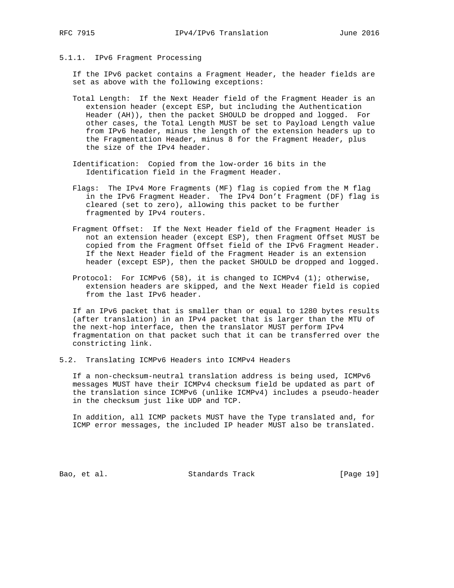# 5.1.1. IPv6 Fragment Processing

 If the IPv6 packet contains a Fragment Header, the header fields are set as above with the following exceptions:

- Total Length: If the Next Header field of the Fragment Header is an extension header (except ESP, but including the Authentication Header (AH)), then the packet SHOULD be dropped and logged. For other cases, the Total Length MUST be set to Payload Length value from IPv6 header, minus the length of the extension headers up to the Fragmentation Header, minus 8 for the Fragment Header, plus the size of the IPv4 header.
- Identification: Copied from the low-order 16 bits in the Identification field in the Fragment Header.
- Flags: The IPv4 More Fragments (MF) flag is copied from the M flag in the IPv6 Fragment Header. The IPv4 Don't Fragment (DF) flag is cleared (set to zero), allowing this packet to be further fragmented by IPv4 routers.
- Fragment Offset: If the Next Header field of the Fragment Header is not an extension header (except ESP), then Fragment Offset MUST be copied from the Fragment Offset field of the IPv6 Fragment Header. If the Next Header field of the Fragment Header is an extension header (except ESP), then the packet SHOULD be dropped and logged.
- Protocol: For ICMPv6 (58), it is changed to ICMPv4 (1); otherwise, extension headers are skipped, and the Next Header field is copied from the last IPv6 header.

 If an IPv6 packet that is smaller than or equal to 1280 bytes results (after translation) in an IPv4 packet that is larger than the MTU of the next-hop interface, then the translator MUST perform IPv4 fragmentation on that packet such that it can be transferred over the constricting link.

5.2. Translating ICMPv6 Headers into ICMPv4 Headers

 If a non-checksum-neutral translation address is being used, ICMPv6 messages MUST have their ICMPv4 checksum field be updated as part of the translation since ICMPv6 (unlike ICMPv4) includes a pseudo-header in the checksum just like UDP and TCP.

 In addition, all ICMP packets MUST have the Type translated and, for ICMP error messages, the included IP header MUST also be translated.

Bao, et al. Standards Track [Page 19]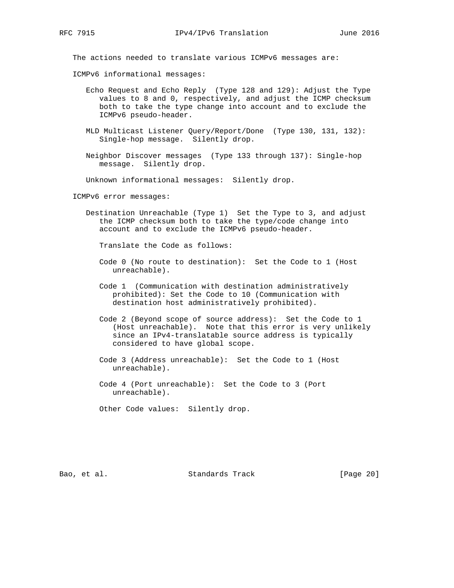The actions needed to translate various ICMPv6 messages are:

ICMPv6 informational messages:

- Echo Request and Echo Reply (Type 128 and 129): Adjust the Type values to 8 and 0, respectively, and adjust the ICMP checksum both to take the type change into account and to exclude the ICMPv6 pseudo-header.
- MLD Multicast Listener Query/Report/Done (Type 130, 131, 132): Single-hop message. Silently drop.
- Neighbor Discover messages (Type 133 through 137): Single-hop message. Silently drop.

Unknown informational messages: Silently drop.

ICMPv6 error messages:

 Destination Unreachable (Type 1) Set the Type to 3, and adjust the ICMP checksum both to take the type/code change into account and to exclude the ICMPv6 pseudo-header.

Translate the Code as follows:

- Code 0 (No route to destination): Set the Code to 1 (Host unreachable).
- Code 1 (Communication with destination administratively prohibited): Set the Code to 10 (Communication with destination host administratively prohibited).
- Code 2 (Beyond scope of source address): Set the Code to 1 (Host unreachable). Note that this error is very unlikely since an IPv4-translatable source address is typically considered to have global scope.
- Code 3 (Address unreachable): Set the Code to 1 (Host unreachable).
- Code 4 (Port unreachable): Set the Code to 3 (Port unreachable).

Other Code values: Silently drop.

Bao, et al. Standards Track [Page 20]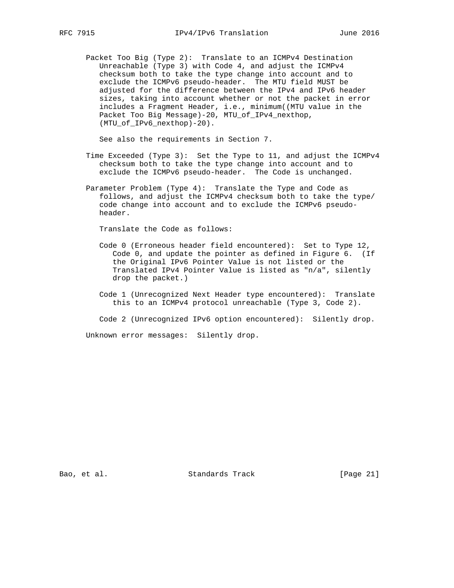Packet Too Big (Type 2): Translate to an ICMPv4 Destination Unreachable (Type 3) with Code 4, and adjust the ICMPv4 checksum both to take the type change into account and to exclude the ICMPv6 pseudo-header. The MTU field MUST be adjusted for the difference between the IPv4 and IPv6 header sizes, taking into account whether or not the packet in error includes a Fragment Header, i.e., minimum((MTU value in the Packet Too Big Message)-20, MTU\_of\_IPv4\_nexthop, (MTU\_of\_IPv6\_nexthop)-20).

See also the requirements in Section 7.

- Time Exceeded (Type 3): Set the Type to 11, and adjust the ICMPv4 checksum both to take the type change into account and to exclude the ICMPv6 pseudo-header. The Code is unchanged.
- Parameter Problem (Type 4): Translate the Type and Code as follows, and adjust the ICMPv4 checksum both to take the type/ code change into account and to exclude the ICMPv6 pseudo header.

Translate the Code as follows:

- Code 0 (Erroneous header field encountered): Set to Type 12, Code 0, and update the pointer as defined in Figure 6. (If the Original IPv6 Pointer Value is not listed or the Translated IPv4 Pointer Value is listed as "n/a", silently drop the packet.)
- Code 1 (Unrecognized Next Header type encountered): Translate this to an ICMPv4 protocol unreachable (Type 3, Code 2).
- Code 2 (Unrecognized IPv6 option encountered): Silently drop.

Unknown error messages: Silently drop.

Bao, et al. Standards Track [Page 21]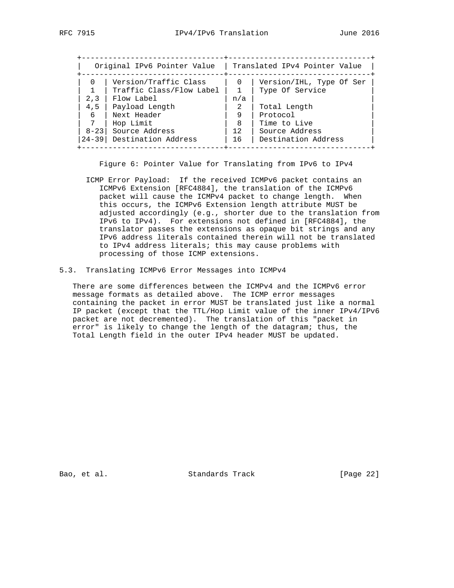| Original IPv6 Pointer Value |                           |          | Translated IPv4 Pointer Value |  |  |  |
|-----------------------------|---------------------------|----------|-------------------------------|--|--|--|
| $\Omega$                    | Version/Traffic Class     | $\Omega$ | Version/IHL, Type Of Ser      |  |  |  |
|                             | Traffic Class/Flow Label  |          | Type Of Service               |  |  |  |
| 2,3                         | Flow Label                | n/a      |                               |  |  |  |
| 4,5                         | Payload Length            | 2        | Total Length                  |  |  |  |
| 6                           | Next Header               | 9        | Protocol                      |  |  |  |
| 7                           | Hop Limit                 | -8       | Time to Live                  |  |  |  |
| $8 - 23$                    | Source Address            | 12       | Source Address                |  |  |  |
|                             | 24-39 Destination Address | 16       | Destination Address           |  |  |  |

Figure 6: Pointer Value for Translating from IPv6 to IPv4

- ICMP Error Payload: If the received ICMPv6 packet contains an ICMPv6 Extension [RFC4884], the translation of the ICMPv6 packet will cause the ICMPv4 packet to change length. When this occurs, the ICMPv6 Extension length attribute MUST be adjusted accordingly (e.g., shorter due to the translation from IPv6 to IPv4). For extensions not defined in [RFC4884], the translator passes the extensions as opaque bit strings and any IPv6 address literals contained therein will not be translated to IPv4 address literals; this may cause problems with processing of those ICMP extensions.
- 5.3. Translating ICMPv6 Error Messages into ICMPv4

 There are some differences between the ICMPv4 and the ICMPv6 error message formats as detailed above. The ICMP error messages containing the packet in error MUST be translated just like a normal IP packet (except that the TTL/Hop Limit value of the inner IPv4/IPv6 packet are not decremented). The translation of this "packet in error" is likely to change the length of the datagram; thus, the Total Length field in the outer IPv4 header MUST be updated.

Bao, et al. Standards Track [Page 22]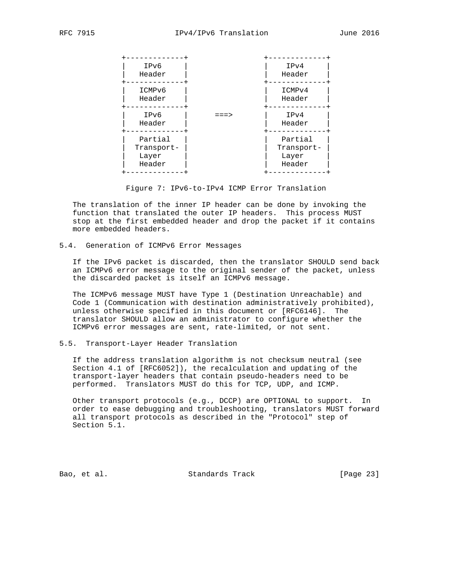![](_page_22_Figure_3.jpeg)

Figure 7: IPv6-to-IPv4 ICMP Error Translation

 The translation of the inner IP header can be done by invoking the function that translated the outer IP headers. This process MUST stop at the first embedded header and drop the packet if it contains more embedded headers.

5.4. Generation of ICMPv6 Error Messages

 If the IPv6 packet is discarded, then the translator SHOULD send back an ICMPv6 error message to the original sender of the packet, unless the discarded packet is itself an ICMPv6 message.

 The ICMPv6 message MUST have Type 1 (Destination Unreachable) and Code 1 (Communication with destination administratively prohibited), unless otherwise specified in this document or [RFC6146]. The translator SHOULD allow an administrator to configure whether the ICMPv6 error messages are sent, rate-limited, or not sent.

5.5. Transport-Layer Header Translation

 If the address translation algorithm is not checksum neutral (see Section 4.1 of [RFC6052]), the recalculation and updating of the transport-layer headers that contain pseudo-headers need to be performed. Translators MUST do this for TCP, UDP, and ICMP.

 Other transport protocols (e.g., DCCP) are OPTIONAL to support. In order to ease debugging and troubleshooting, translators MUST forward all transport protocols as described in the "Protocol" step of Section 5.1.

Bao, et al. Standards Track [Page 23]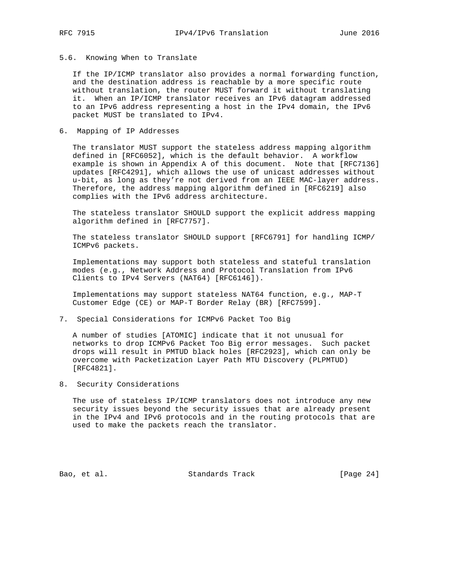# 5.6. Knowing When to Translate

 If the IP/ICMP translator also provides a normal forwarding function, and the destination address is reachable by a more specific route without translation, the router MUST forward it without translating it. When an IP/ICMP translator receives an IPv6 datagram addressed to an IPv6 address representing a host in the IPv4 domain, the IPv6 packet MUST be translated to IPv4.

6. Mapping of IP Addresses

 The translator MUST support the stateless address mapping algorithm defined in [RFC6052], which is the default behavior. A workflow example is shown in Appendix A of this document. Note that [RFC7136] updates [RFC4291], which allows the use of unicast addresses without u-bit, as long as they're not derived from an IEEE MAC-layer address. Therefore, the address mapping algorithm defined in [RFC6219] also complies with the IPv6 address architecture.

 The stateless translator SHOULD support the explicit address mapping algorithm defined in [RFC7757].

 The stateless translator SHOULD support [RFC6791] for handling ICMP/ ICMPv6 packets.

 Implementations may support both stateless and stateful translation modes (e.g., Network Address and Protocol Translation from IPv6 Clients to IPv4 Servers (NAT64) [RFC6146]).

 Implementations may support stateless NAT64 function, e.g., MAP-T Customer Edge (CE) or MAP-T Border Relay (BR) [RFC7599].

7. Special Considerations for ICMPv6 Packet Too Big

 A number of studies [ATOMIC] indicate that it not unusual for networks to drop ICMPv6 Packet Too Big error messages. Such packet drops will result in PMTUD black holes [RFC2923], which can only be overcome with Packetization Layer Path MTU Discovery (PLPMTUD) [RFC4821].

8. Security Considerations

The use of stateless IP/ICMP translators does not introduce any new security issues beyond the security issues that are already present in the IPv4 and IPv6 protocols and in the routing protocols that are used to make the packets reach the translator.

Bao, et al. Standards Track [Page 24]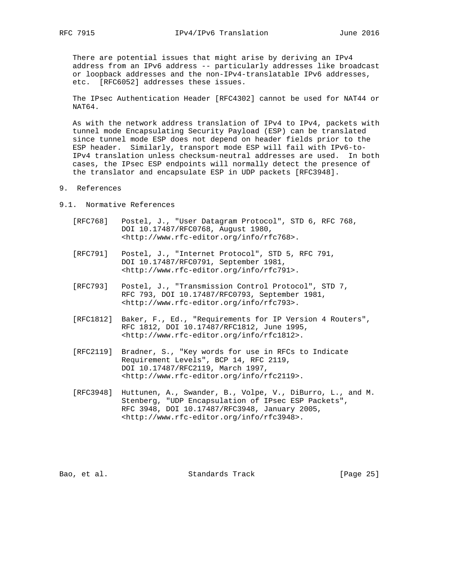There are potential issues that might arise by deriving an IPv4 address from an IPv6 address -- particularly addresses like broadcast or loopback addresses and the non-IPv4-translatable IPv6 addresses, etc. [RFC6052] addresses these issues.

 The IPsec Authentication Header [RFC4302] cannot be used for NAT44 or NAT64.

 As with the network address translation of IPv4 to IPv4, packets with tunnel mode Encapsulating Security Payload (ESP) can be translated since tunnel mode ESP does not depend on header fields prior to the ESP header. Similarly, transport mode ESP will fail with IPv6-to- IPv4 translation unless checksum-neutral addresses are used. In both cases, the IPsec ESP endpoints will normally detect the presence of the translator and encapsulate ESP in UDP packets [RFC3948].

- 9. References
- 9.1. Normative References
	- [RFC768] Postel, J., "User Datagram Protocol", STD 6, RFC 768, DOI 10.17487/RFC0768, August 1980, <http://www.rfc-editor.org/info/rfc768>.
	- [RFC791] Postel, J., "Internet Protocol", STD 5, RFC 791, DOI 10.17487/RFC0791, September 1981, <http://www.rfc-editor.org/info/rfc791>.
	- [RFC793] Postel, J., "Transmission Control Protocol", STD 7, RFC 793, DOI 10.17487/RFC0793, September 1981, <http://www.rfc-editor.org/info/rfc793>.
	- [RFC1812] Baker, F., Ed., "Requirements for IP Version 4 Routers", RFC 1812, DOI 10.17487/RFC1812, June 1995, <http://www.rfc-editor.org/info/rfc1812>.
	- [RFC2119] Bradner, S., "Key words for use in RFCs to Indicate Requirement Levels", BCP 14, RFC 2119, DOI 10.17487/RFC2119, March 1997, <http://www.rfc-editor.org/info/rfc2119>.
	- [RFC3948] Huttunen, A., Swander, B., Volpe, V., DiBurro, L., and M. Stenberg, "UDP Encapsulation of IPsec ESP Packets", RFC 3948, DOI 10.17487/RFC3948, January 2005, <http://www.rfc-editor.org/info/rfc3948>.

Bao, et al. Standards Track [Page 25]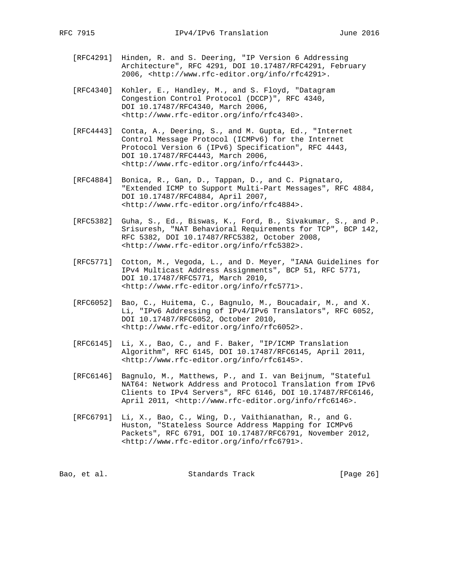- [RFC4291] Hinden, R. and S. Deering, "IP Version 6 Addressing Architecture", RFC 4291, DOI 10.17487/RFC4291, February 2006, <http://www.rfc-editor.org/info/rfc4291>.
- [RFC4340] Kohler, E., Handley, M., and S. Floyd, "Datagram Congestion Control Protocol (DCCP)", RFC 4340, DOI 10.17487/RFC4340, March 2006, <http://www.rfc-editor.org/info/rfc4340>.
- [RFC4443] Conta, A., Deering, S., and M. Gupta, Ed., "Internet Control Message Protocol (ICMPv6) for the Internet Protocol Version 6 (IPv6) Specification", RFC 4443, DOI 10.17487/RFC4443, March 2006, <http://www.rfc-editor.org/info/rfc4443>.
- [RFC4884] Bonica, R., Gan, D., Tappan, D., and C. Pignataro, "Extended ICMP to Support Multi-Part Messages", RFC 4884, DOI 10.17487/RFC4884, April 2007, <http://www.rfc-editor.org/info/rfc4884>.
- [RFC5382] Guha, S., Ed., Biswas, K., Ford, B., Sivakumar, S., and P. Srisuresh, "NAT Behavioral Requirements for TCP", BCP 142, RFC 5382, DOI 10.17487/RFC5382, October 2008, <http://www.rfc-editor.org/info/rfc5382>.
- [RFC5771] Cotton, M., Vegoda, L., and D. Meyer, "IANA Guidelines for IPv4 Multicast Address Assignments", BCP 51, RFC 5771, DOI 10.17487/RFC5771, March 2010, <http://www.rfc-editor.org/info/rfc5771>.
- [RFC6052] Bao, C., Huitema, C., Bagnulo, M., Boucadair, M., and X. Li, "IPv6 Addressing of IPv4/IPv6 Translators", RFC 6052, DOI 10.17487/RFC6052, October 2010, <http://www.rfc-editor.org/info/rfc6052>.
- [RFC6145] Li, X., Bao, C., and F. Baker, "IP/ICMP Translation Algorithm", RFC 6145, DOI 10.17487/RFC6145, April 2011, <http://www.rfc-editor.org/info/rfc6145>.
- [RFC6146] Bagnulo, M., Matthews, P., and I. van Beijnum, "Stateful NAT64: Network Address and Protocol Translation from IPv6 Clients to IPv4 Servers", RFC 6146, DOI 10.17487/RFC6146, April 2011, <http://www.rfc-editor.org/info/rfc6146>.
- [RFC6791] Li, X., Bao, C., Wing, D., Vaithianathan, R., and G. Huston, "Stateless Source Address Mapping for ICMPv6 Packets", RFC 6791, DOI 10.17487/RFC6791, November 2012, <http://www.rfc-editor.org/info/rfc6791>.

| [Page 26]<br>Standards Track<br>Bao, et al. |
|---------------------------------------------|
|---------------------------------------------|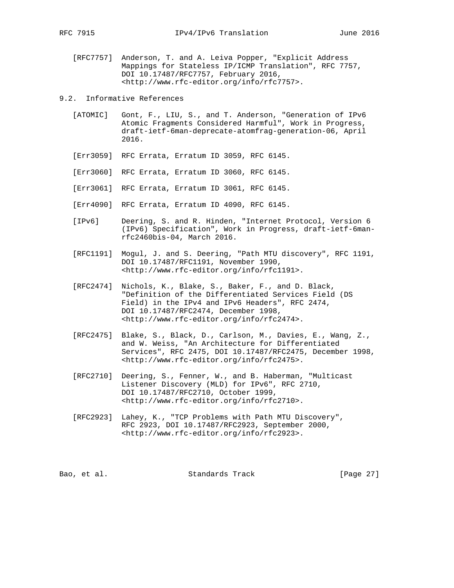- [RFC7757] Anderson, T. and A. Leiva Popper, "Explicit Address Mappings for Stateless IP/ICMP Translation", RFC 7757, DOI 10.17487/RFC7757, February 2016, <http://www.rfc-editor.org/info/rfc7757>.
- 9.2. Informative References
	- [ATOMIC] Gont, F., LIU, S., and T. Anderson, "Generation of IPv6 Atomic Fragments Considered Harmful", Work in Progress, draft-ietf-6man-deprecate-atomfrag-generation-06, April 2016.
	- [Err3059] RFC Errata, Erratum ID 3059, RFC 6145.
	- [Err3060] RFC Errata, Erratum ID 3060, RFC 6145.
	- [Err3061] RFC Errata, Erratum ID 3061, RFC 6145.
	- [Err4090] RFC Errata, Erratum ID 4090, RFC 6145.
	- [IPv6] Deering, S. and R. Hinden, "Internet Protocol, Version 6 (IPv6) Specification", Work in Progress, draft-ietf-6man rfc2460bis-04, March 2016.
	- [RFC1191] Mogul, J. and S. Deering, "Path MTU discovery", RFC 1191, DOI 10.17487/RFC1191, November 1990, <http://www.rfc-editor.org/info/rfc1191>.
	- [RFC2474] Nichols, K., Blake, S., Baker, F., and D. Black, "Definition of the Differentiated Services Field (DS Field) in the IPv4 and IPv6 Headers", RFC 2474, DOI 10.17487/RFC2474, December 1998, <http://www.rfc-editor.org/info/rfc2474>.
	- [RFC2475] Blake, S., Black, D., Carlson, M., Davies, E., Wang, Z., and W. Weiss, "An Architecture for Differentiated Services", RFC 2475, DOI 10.17487/RFC2475, December 1998, <http://www.rfc-editor.org/info/rfc2475>.
	- [RFC2710] Deering, S., Fenner, W., and B. Haberman, "Multicast Listener Discovery (MLD) for IPv6", RFC 2710, DOI 10.17487/RFC2710, October 1999, <http://www.rfc-editor.org/info/rfc2710>.
	- [RFC2923] Lahey, K., "TCP Problems with Path MTU Discovery", RFC 2923, DOI 10.17487/RFC2923, September 2000, <http://www.rfc-editor.org/info/rfc2923>.

Bao, et al. Standards Track [Page 27]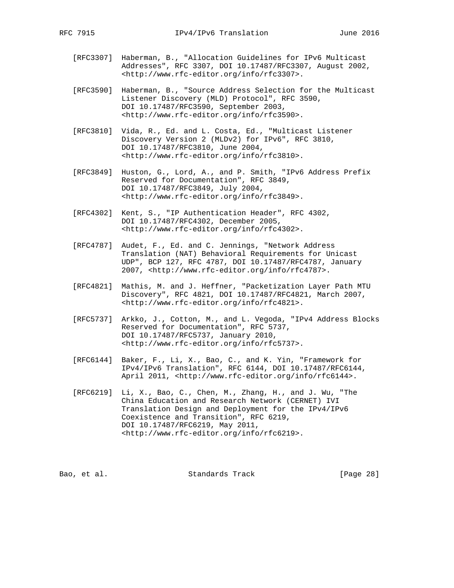- [RFC3307] Haberman, B., "Allocation Guidelines for IPv6 Multicast Addresses", RFC 3307, DOI 10.17487/RFC3307, August 2002, <http://www.rfc-editor.org/info/rfc3307>.
- [RFC3590] Haberman, B., "Source Address Selection for the Multicast Listener Discovery (MLD) Protocol", RFC 3590, DOI 10.17487/RFC3590, September 2003, <http://www.rfc-editor.org/info/rfc3590>.
- [RFC3810] Vida, R., Ed. and L. Costa, Ed., "Multicast Listener Discovery Version 2 (MLDv2) for IPv6", RFC 3810, DOI 10.17487/RFC3810, June 2004, <http://www.rfc-editor.org/info/rfc3810>.
- [RFC3849] Huston, G., Lord, A., and P. Smith, "IPv6 Address Prefix Reserved for Documentation", RFC 3849, DOI 10.17487/RFC3849, July 2004, <http://www.rfc-editor.org/info/rfc3849>.
- [RFC4302] Kent, S., "IP Authentication Header", RFC 4302, DOI 10.17487/RFC4302, December 2005, <http://www.rfc-editor.org/info/rfc4302>.
- [RFC4787] Audet, F., Ed. and C. Jennings, "Network Address Translation (NAT) Behavioral Requirements for Unicast UDP", BCP 127, RFC 4787, DOI 10.17487/RFC4787, January 2007, <http://www.rfc-editor.org/info/rfc4787>.
- [RFC4821] Mathis, M. and J. Heffner, "Packetization Layer Path MTU Discovery", RFC 4821, DOI 10.17487/RFC4821, March 2007, <http://www.rfc-editor.org/info/rfc4821>.
- [RFC5737] Arkko, J., Cotton, M., and L. Vegoda, "IPv4 Address Blocks Reserved for Documentation", RFC 5737, DOI 10.17487/RFC5737, January 2010, <http://www.rfc-editor.org/info/rfc5737>.
- [RFC6144] Baker, F., Li, X., Bao, C., and K. Yin, "Framework for IPv4/IPv6 Translation", RFC 6144, DOI 10.17487/RFC6144, April 2011, <http://www.rfc-editor.org/info/rfc6144>.
	- [RFC6219] Li, X., Bao, C., Chen, M., Zhang, H., and J. Wu, "The China Education and Research Network (CERNET) IVI Translation Design and Deployment for the IPv4/IPv6 Coexistence and Transition", RFC 6219, DOI 10.17487/RFC6219, May 2011, <http://www.rfc-editor.org/info/rfc6219>.

| [Page 28]<br>Standards Track<br>Bao, et al. |  |  |  |
|---------------------------------------------|--|--|--|
|---------------------------------------------|--|--|--|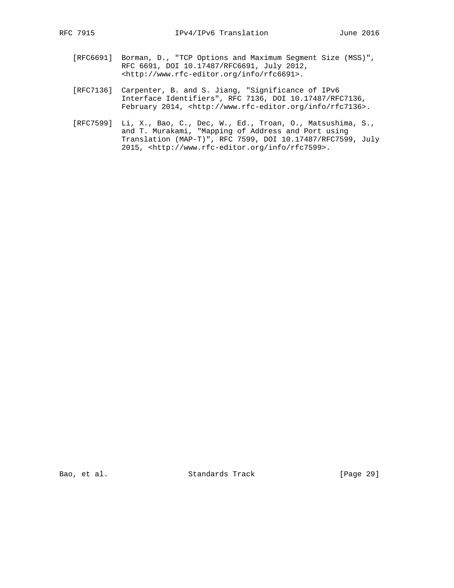- [RFC6691] Borman, D., "TCP Options and Maximum Segment Size (MSS)", RFC 6691, DOI 10.17487/RFC6691, July 2012, <http://www.rfc-editor.org/info/rfc6691>.
- [RFC7136] Carpenter, B. and S. Jiang, "Significance of IPv6 Interface Identifiers", RFC 7136, DOI 10.17487/RFC7136, February 2014, <http://www.rfc-editor.org/info/rfc7136>.
- [RFC7599] Li, X., Bao, C., Dec, W., Ed., Troan, O., Matsushima, S., and T. Murakami, "Mapping of Address and Port using Translation (MAP-T)", RFC 7599, DOI 10.17487/RFC7599, July 2015, <http://www.rfc-editor.org/info/rfc7599>.

Bao, et al. Standards Track [Page 29]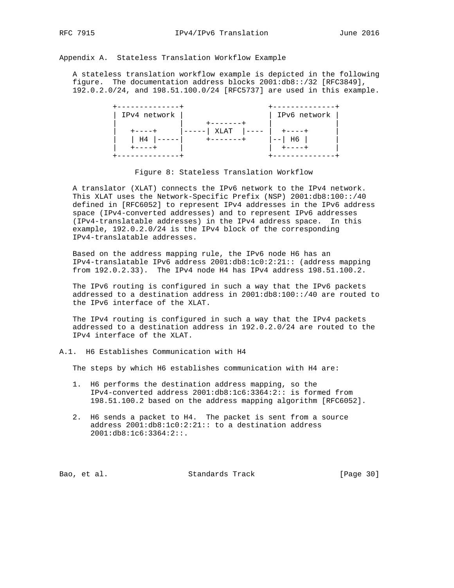Appendix A. Stateless Translation Workflow Example

 A stateless translation workflow example is depicted in the following figure. The documentation address blocks 2001:db8::/32 [RFC3849], 192.0.2.0/24, and 198.51.100.0/24 [RFC5737] are used in this example.

![](_page_29_Figure_5.jpeg)

Figure 8: Stateless Translation Workflow

 A translator (XLAT) connects the IPv6 network to the IPv4 network. This XLAT uses the Network-Specific Prefix (NSP) 2001:db8:100::/40 defined in [RFC6052] to represent IPv4 addresses in the IPv6 address space (IPv4-converted addresses) and to represent IPv6 addresses (IPv4-translatable addresses) in the IPv4 address space. In this example, 192.0.2.0/24 is the IPv4 block of the corresponding IPv4-translatable addresses.

 Based on the address mapping rule, the IPv6 node H6 has an IPv4-translatable IPv6 address 2001:db8:1c0:2:21:: (address mapping from 192.0.2.33). The IPv4 node H4 has IPv4 address 198.51.100.2.

 The IPv6 routing is configured in such a way that the IPv6 packets addressed to a destination address in 2001:db8:100::/40 are routed to the IPv6 interface of the XLAT.

 The IPv4 routing is configured in such a way that the IPv4 packets addressed to a destination address in 192.0.2.0/24 are routed to the IPv4 interface of the XLAT.

A.1. H6 Establishes Communication with H4

The steps by which H6 establishes communication with H4 are:

- 1. H6 performs the destination address mapping, so the IPv4-converted address 2001:db8:1c6:3364:2:: is formed from 198.51.100.2 based on the address mapping algorithm [RFC6052].
- 2. H6 sends a packet to H4. The packet is sent from a source address 2001:db8:1c0:2:21:: to a destination address 2001:db8:1c6:3364:2::.

Bao, et al. Standards Track [Page 30]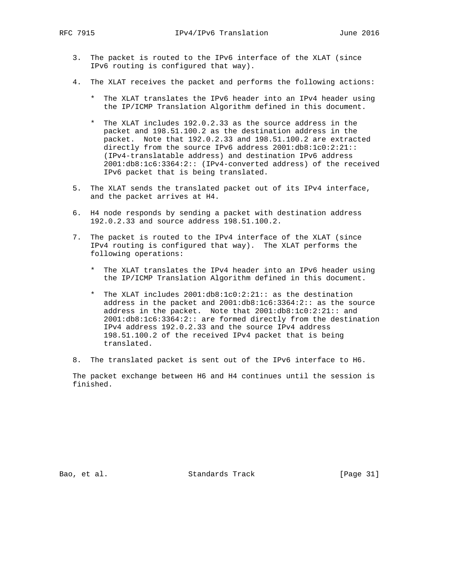- 3. The packet is routed to the IPv6 interface of the XLAT (since IPv6 routing is configured that way).
- 4. The XLAT receives the packet and performs the following actions:
	- \* The XLAT translates the IPv6 header into an IPv4 header using the IP/ICMP Translation Algorithm defined in this document.
	- \* The XLAT includes 192.0.2.33 as the source address in the packet and 198.51.100.2 as the destination address in the packet. Note that 192.0.2.33 and 198.51.100.2 are extracted directly from the source IPv6 address 2001:db8:1c0:2:21:: (IPv4-translatable address) and destination IPv6 address 2001:db8:1c6:3364:2:: (IPv4-converted address) of the received IPv6 packet that is being translated.
- 5. The XLAT sends the translated packet out of its IPv4 interface, and the packet arrives at H4.
- 6. H4 node responds by sending a packet with destination address 192.0.2.33 and source address 198.51.100.2.
- 7. The packet is routed to the IPv4 interface of the XLAT (since IPv4 routing is configured that way). The XLAT performs the following operations:
	- \* The XLAT translates the IPv4 header into an IPv6 header using the IP/ICMP Translation Algorithm defined in this document.
	- \* The XLAT includes 2001:db8:1c0:2:21:: as the destination address in the packet and 2001:db8:1c6:3364:2:: as the source address in the packet. Note that 2001:db8:1c0:2:21:: and 2001:db8:1c6:3364:2:: are formed directly from the destination IPv4 address 192.0.2.33 and the source IPv4 address 198.51.100.2 of the received IPv4 packet that is being translated.
- 8. The translated packet is sent out of the IPv6 interface to H6.

 The packet exchange between H6 and H4 continues until the session is finished.

Bao, et al. Standards Track [Page 31]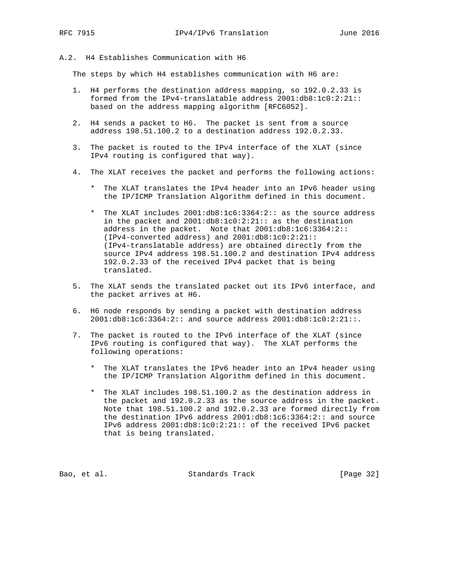# A.2. H4 Establishes Communication with H6

The steps by which H4 establishes communication with H6 are:

- 1. H4 performs the destination address mapping, so 192.0.2.33 is formed from the IPv4-translatable address 2001:db8:1c0:2:21:: based on the address mapping algorithm [RFC6052].
- 2. H4 sends a packet to H6. The packet is sent from a source address 198.51.100.2 to a destination address 192.0.2.33.
- 3. The packet is routed to the IPv4 interface of the XLAT (since IPv4 routing is configured that way).
- 4. The XLAT receives the packet and performs the following actions:
	- \* The XLAT translates the IPv4 header into an IPv6 header using the IP/ICMP Translation Algorithm defined in this document.
	- \* The XLAT includes 2001:db8:1c6:3364:2:: as the source address in the packet and 2001:db8:1c0:2:21:: as the destination address in the packet. Note that 2001:db8:1c6:3364:2:: (IPv4-converted address) and 2001:db8:1c0:2:21:: (IPv4-translatable address) are obtained directly from the source IPv4 address 198.51.100.2 and destination IPv4 address 192.0.2.33 of the received IPv4 packet that is being translated.
- 5. The XLAT sends the translated packet out its IPv6 interface, and the packet arrives at H6.
- 6. H6 node responds by sending a packet with destination address 2001:db8:1c6:3364:2:: and source address 2001:db8:1c0:2:21::.
- 7. The packet is routed to the IPv6 interface of the XLAT (since IPv6 routing is configured that way). The XLAT performs the following operations:
	- \* The XLAT translates the IPv6 header into an IPv4 header using the IP/ICMP Translation Algorithm defined in this document.
	- \* The XLAT includes 198.51.100.2 as the destination address in the packet and 192.0.2.33 as the source address in the packet. Note that 198.51.100.2 and 192.0.2.33 are formed directly from the destination IPv6 address 2001:db8:1c6:3364:2:: and source IPv6 address 2001:db8:1c0:2:21:: of the received IPv6 packet that is being translated.

Bao, et al. Standards Track [Page 32]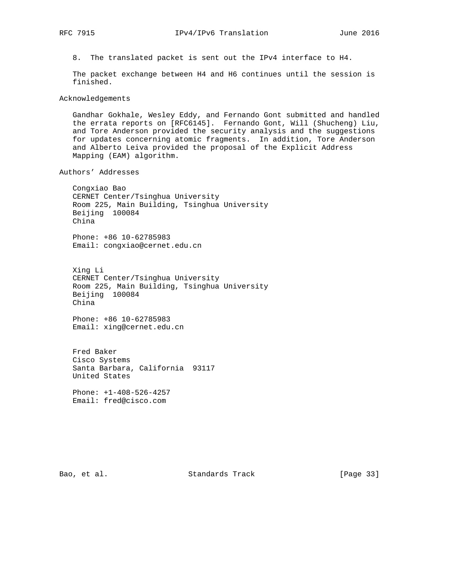8. The translated packet is sent out the IPv4 interface to H4.

 The packet exchange between H4 and H6 continues until the session is finished.

Acknowledgements

 Gandhar Gokhale, Wesley Eddy, and Fernando Gont submitted and handled the errata reports on [RFC6145]. Fernando Gont, Will (Shucheng) Liu, and Tore Anderson provided the security analysis and the suggestions for updates concerning atomic fragments. In addition, Tore Anderson and Alberto Leiva provided the proposal of the Explicit Address Mapping (EAM) algorithm.

Authors' Addresses

 Congxiao Bao CERNET Center/Tsinghua University Room 225, Main Building, Tsinghua University Beijing 100084 China

 Phone: +86 10-62785983 Email: congxiao@cernet.edu.cn

 Xing Li CERNET Center/Tsinghua University Room 225, Main Building, Tsinghua University Beijing 100084 China

 Phone: +86 10-62785983 Email: xing@cernet.edu.cn

 Fred Baker Cisco Systems Santa Barbara, California 93117 United States

 Phone: +1-408-526-4257 Email: fred@cisco.com

Bao, et al. Standards Track [Page 33]